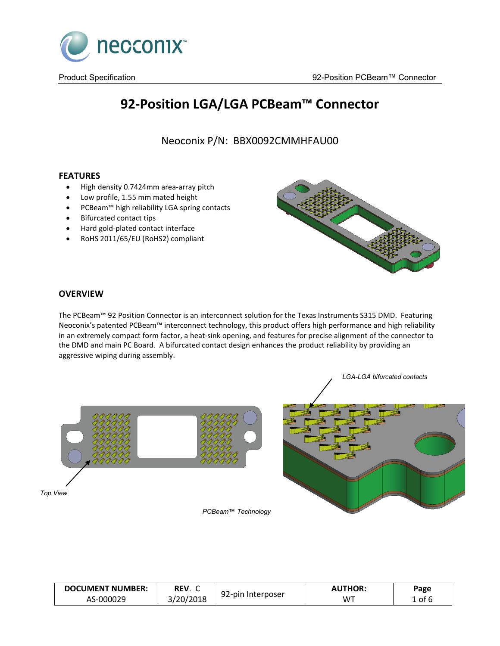

# **92-Position LGA/LGA PCBeam™ Connector**

Neoconix P/N: BBX0092CMMHFAU00

# **FEATURES**

- High density 0.7424mm area-array pitch
- Low profile, 1.55 mm mated height
- PCBeam™ high reliability LGA spring contacts
- Bifurcated contact tips
- Hard gold-plated contact interface
- RoHS 2011/65/EU (RoHS2) compliant



## **OVERVIEW**

The PCBeam™ 92 Position Connector is an interconnect solution for the Texas Instruments S315 DMD. Featuring Neoconix's patented PCBeam™ interconnect technology, this product offers high performance and high reliability in an extremely compact form factor, a heat-sink opening, and features for precise alignment of the connector to the DMD and main PC Board. A bifurcated contact design enhances the product reliability by providing an aggressive wiping during assembly.



**DOCUMENT NUMBER:** AS-000029 **REV**. C REV. C 92-pin Interposer **AUTHOR:**<br>3/20/2018 92-pin Interposer WT WT **Page** 1 of 6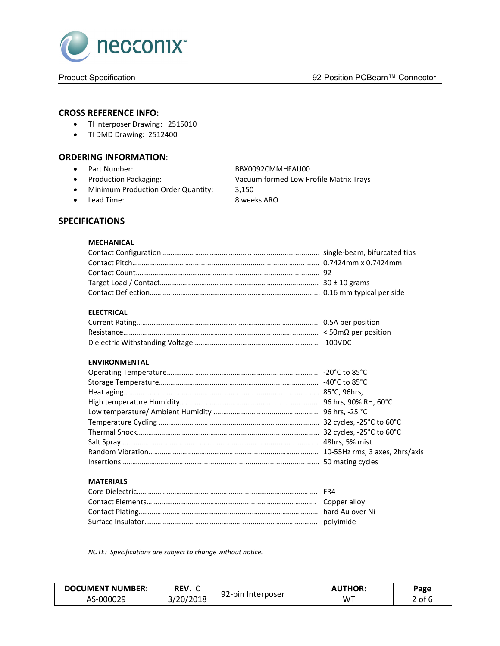

## **CROSS REFERENCE INFO:**

- TI Interposer Drawing: 2515010
- TI DMD Drawing: 2512400

#### **ORDERING INFORMATION**:

• Part Number: BBX0092CMMHFAU00

- 
- Minimum Production Order Quantity: 3,150
- 

• Production Packaging: Vacuum formed Low Profile Matrix Trays

• Lead Time: 8 weeks ARO

# **SPECIFICATIONS**

#### **MECHANICAL**

#### **ELECTRICAL**

#### **ENVIRONMENTAL**

#### **MATERIALS**

*NOTE: Specifications are subject to change without notice.*

| <b>DOCUMENT NUMBER:</b> | REV. C                    |                   | <b>THOR:</b>   | Page                      |
|-------------------------|---------------------------|-------------------|----------------|---------------------------|
| AS-000029               | /20/2018<br>2018<br>. د س | 92-pin Interposer | W <sup>T</sup> | $\sim$ f $\epsilon$<br>υı |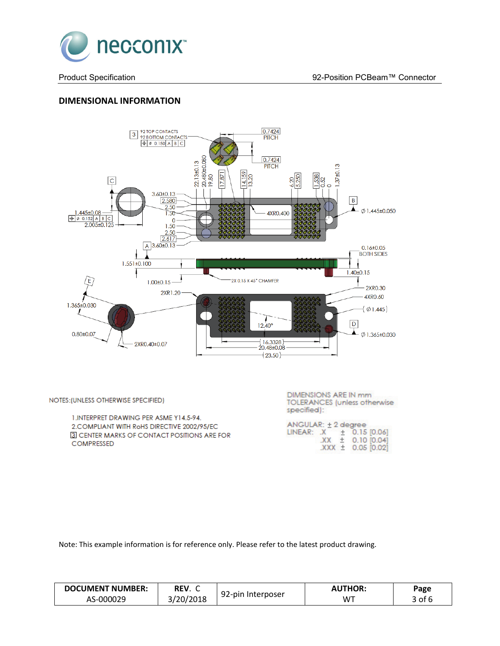

# **DIMENSIONAL INFORMATION**



NOTES: (UNLESS OTHERWISE SPECIFIED)

1.INTERPRET DRAWING PER ASME Y14.5-94. 2. COMPLIANT WITH RoHS DIRECTIVE 2002/95/EC 3 CENTER MARKS OF CONTACT POSITIONS ARE FOR COMPRESSED

**DIMENSIONS ARE IN mm TOLERANCES** (unless otherwise specified):

| ANGULAR: ± 2 degree      |  |                       |
|--------------------------|--|-----------------------|
| $INEAR: X + 0.15 [0.06]$ |  |                       |
|                          |  | $XX \pm 0.10$ [0.04]  |
|                          |  | $XXX \pm 0.05$ [0.02] |

Note: This example information is for reference only. Please refer to the latest product drawing.

| <b>DOCUMENT NUMBER:</b> | REV.      |                   | <b>AUTHOR:</b> | Page |
|-------------------------|-----------|-------------------|----------------|------|
| AS-000029               | 3/20/2018 | 92-pin Interposer | <b>WT</b>      | of f |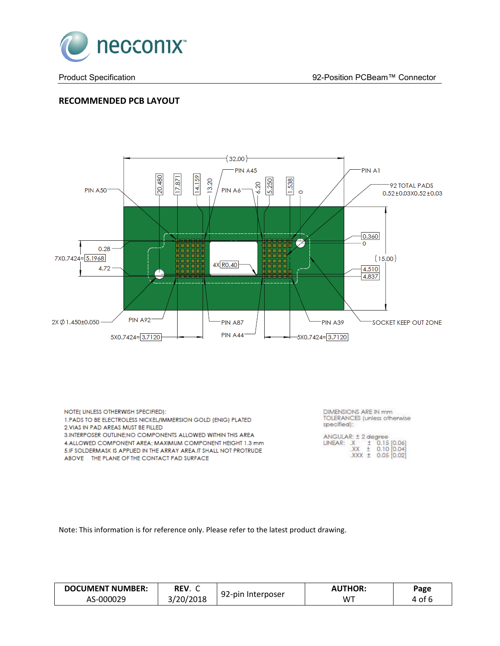

# **RECOMMENDED PCB LAYOUT**



NOTE( UNLESS OTHERWISH SPECIFIED): 1. PADS TO BE ELECTROLESS NICKEL/IMMERSION GOLD (ENIG) PLATED 2. VIAS IN PAD AREAS MUST BE FILLED 3. INTERPOSER OUTLINE; NO COMPONENTS ALLOWED WITHIN THIS AREA

4.ALLOWED COMPONENT AREA; MAXIMUM COMPONENT HEIGHT 1.3 mm 5.IF SOLDERMASK IS APPLIED IN THE ARRAY AREA.IT SHALL NOT PROTRUDE ABOVE THE PLANE OF THE CONTACT PAD SURFACE

**DIMENSIONS ARE IN mm** TOLERANCES (unless otherwise specified):

Note: This information is for reference only. Please refer to the latest product drawing.

| <b>DOCUMENT NUMBER:</b> | REV.<br>ີ |                   | <b>AUTHOR:</b> | Page |
|-------------------------|-----------|-------------------|----------------|------|
| AS-000029               | 3/20/2018 | 92-pin Interposer | W٦             | of 6 |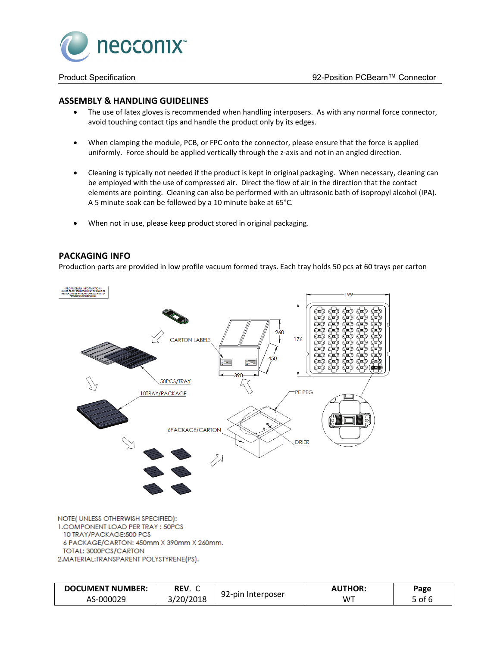

#### **ASSEMBLY & HANDLING GUIDELINES**

- The use of latex gloves is recommended when handling interposers. As with any normal force connector, avoid touching contact tips and handle the product only by its edges.
- When clamping the module, PCB, or FPC onto the connector, please ensure that the force is applied uniformly. Force should be applied vertically through the z-axis and not in an angled direction.
- Cleaning is typically not needed if the product is kept in original packaging. When necessary, cleaning can be employed with the use of compressed air. Direct the flow of air in the direction that the contact elements are pointing. Cleaning can also be performed with an ultrasonic bath of isopropyl alcohol (IPA). A 5 minute soak can be followed by a 10 minute bake at 65°C.
- When not in use, please keep product stored in original packaging.

#### **PACKAGING INFO**

Production parts are provided in low profile vacuum formed trays. Each tray holds 50 pcs at 60 trays per carton



NOTE(UNLESS OTHERWISH SPECIFIED): 1. COMPONENT LOAD PER TRAY : 50PCS 10 TRAY/PACKAGE:500 PCS 6 PACKAGE/CARTON: 450mm X 390mm X 260mm. TOTAL: 3000PCS/CARTON 2. MATERIAL: TRANSPARENT POLYSTYRENE (PS).

| <b>DOCUMENT NUMBER:</b> | REV.     |                           | <b>AUTHOR:</b> | Page |
|-------------------------|----------|---------------------------|----------------|------|
| AS-000029               | /20/2018 | . Interposer<br>$92$ -pin | W™             | ٬ of |